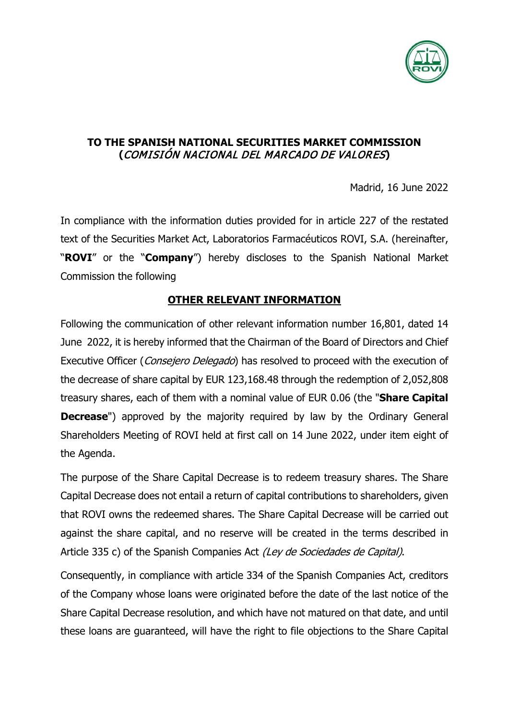

## **TO THE SPANISH NATIONAL SECURITIES MARKET COMMISSION (**COMISIÓN NACIONAL DEL MARCADO DE VALORES**)**

Madrid, 16 June 2022

In compliance with the information duties provided for in article 227 of the restated text of the Securities Market Act, Laboratorios Farmacéuticos ROVI, S.A. (hereinafter, "**ROVI**" or the "**Company**") hereby discloses to the Spanish National Market Commission the following

## **OTHER RELEVANT INFORMATION**

Following the communication of other relevant information number 16,801, dated 14 June 2022, it is hereby informed that the Chairman of the Board of Directors and Chief Executive Officer (*Consejero Delegado*) has resolved to proceed with the execution of the decrease of share capital by EUR 123,168.48 through the redemption of 2,052,808 treasury shares, each of them with a nominal value of EUR 0.06 (the "**Share Capital Decrease**") approved by the majority required by law by the Ordinary General Shareholders Meeting of ROVI held at first call on 14 June 2022, under item eight of the Agenda.

The purpose of the Share Capital Decrease is to redeem treasury shares. The Share Capital Decrease does not entail a return of capital contributions to shareholders, given that ROVI owns the redeemed shares. The Share Capital Decrease will be carried out against the share capital, and no reserve will be created in the terms described in Article 335 c) of the Spanish Companies Act (Ley de Sociedades de Capital).

Consequently, in compliance with article 334 of the Spanish Companies Act, creditors of the Company whose loans were originated before the date of the last notice of the Share Capital Decrease resolution, and which have not matured on that date, and until these loans are guaranteed, will have the right to file objections to the Share Capital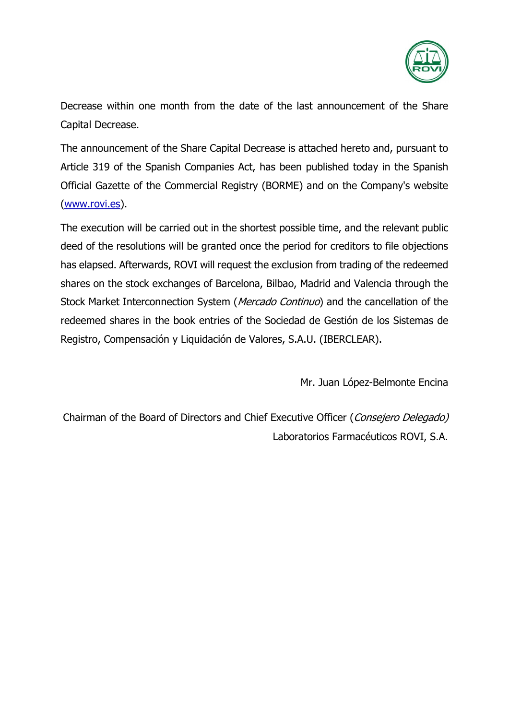

Decrease within one month from the date of the last announcement of the Share Capital Decrease.

The announcement of the Share Capital Decrease is attached hereto and, pursuant to Article 319 of the Spanish Companies Act, has been published today in the Spanish Official Gazette of the Commercial Registry (BORME) and on the Company's website [\(www.rovi.es\)](http://www.rovi.es/).

The execution will be carried out in the shortest possible time, and the relevant public deed of the resolutions will be granted once the period for creditors to file objections has elapsed. Afterwards, ROVI will request the exclusion from trading of the redeemed shares on the stock exchanges of Barcelona, Bilbao, Madrid and Valencia through the Stock Market Interconnection System (*Mercado Continuo*) and the cancellation of the redeemed shares in the book entries of the Sociedad de Gestión de los Sistemas de Registro, Compensación y Liquidación de Valores, S.A.U. (IBERCLEAR).

Mr. Juan López-Belmonte Encina

Chairman of the Board of Directors and Chief Executive Officer (Consejero Delegado) Laboratorios Farmacéuticos ROVI, S.A.